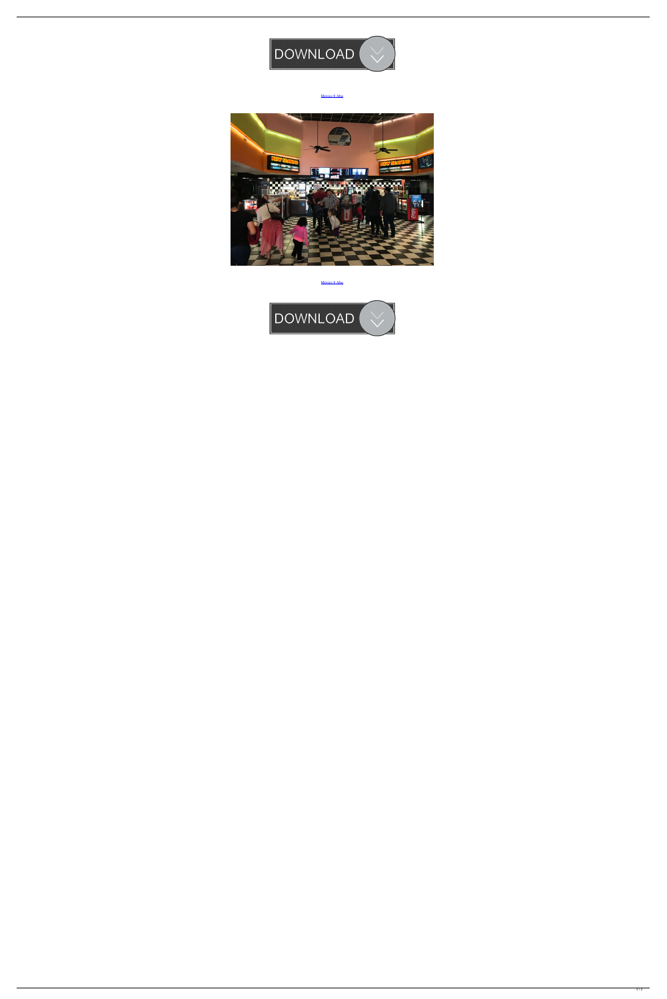

[Movies 8 Abq](https://bytlly.com/1vuxfu)



[Movies 8 Abq](https://bytlly.com/1vuxfu)